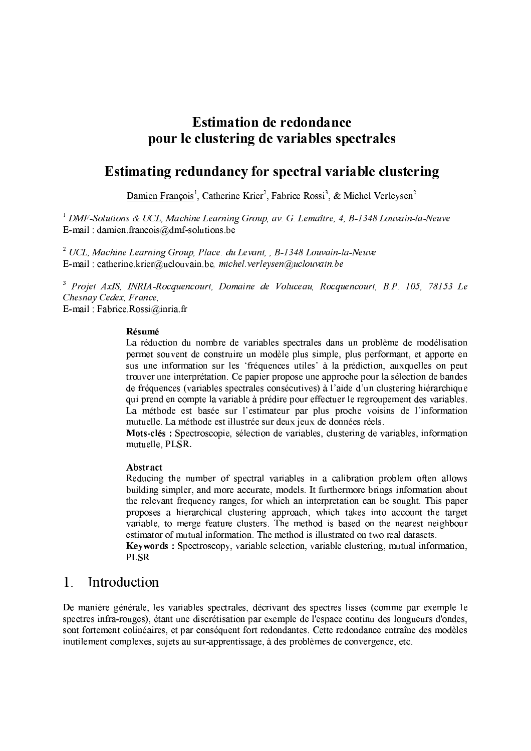# **Estimation de redondance** pour le clustering de variables spectrales

# Estimating redundancy for spectral variable clustering

Damien François<sup>1</sup>, Catherine Krier<sup>2</sup>, Fabrice Rossi<sup>3</sup>, & Michel Verleysen<sup>2</sup>

<sup>1</sup> DMF-Solutions & UCL, Machine Learning Group, av. G. Lemaître, 4, B-1348 Louvain-la-Neuve E-mail: damien.francois@dmf-solutions.be

 $2 \text{ UCL}$ , Machine Learning Group, Place, du Levant, , B-1348 Louvain-la-Neuve E-mail: catherine.krier@uclouvain.be. michel.verlevsen@uclouvain.be

<sup>3</sup> Projet AxIS, INRIA-Rocquencourt, Domaine de Voluceau, Rocquencourt, B.P. 105, 78153 Le Chesnay Cedex, France, E-mail: Fabrice Rossi@inria.fr

#### Résumé

La réduction du nombre de variables spectrales dans un problème de modélisation permet souvent de construire un modèle plus simple, plus performant, et apporte en sus une information sur les 'fréquences utiles' à la prédiction, auxquelles on peut trouver une interprétation. Ce papier propose une approche pour la sélection de bandes de fréquences (variables spectrales consécutives) à l'aide d'un clustering hiérarchique qui prend en compte la variable à prédire pour effectuer le regroupement des variables. La méthode est basée sur l'estimateur par plus proche voisins de l'information mutuelle. La méthode est illustrée sur deux jeux de données réels.

Mots-clés : Spectroscopie, sélection de variables, clustering de variables, information mutuelle, PLSR.

### Abstract

Reducing the number of spectral variables in a calibration problem often allows building simpler, and more accurate, models. It furthermore brings information about the relevant frequency ranges, for which an interpretation can be sought. This paper proposes a hierarchical clustering approach, which takes into account the target variable, to merge feature clusters. The method is based on the nearest neighbour estimator of mutual information. The method is illustrated on two real datasets.

Keywords: Spectroscopy, variable selection, variable clustering, mutual information, **PLSR** 

#### $\mathbf{1}$ Introduction

De manière générale, les variables spectrales, décrivant des spectres lisses (comme par exemple le spectres infra-rouges), étant une discrétisation par exemple de l'espace continu des longueurs d'ondes, sont fortement colinéaires, et par conséquent fort redondantes. Cette redondance entraîne des modèles inutilement complexes, sujets au sur-apprentissage, à des problèmes de convergence, etc.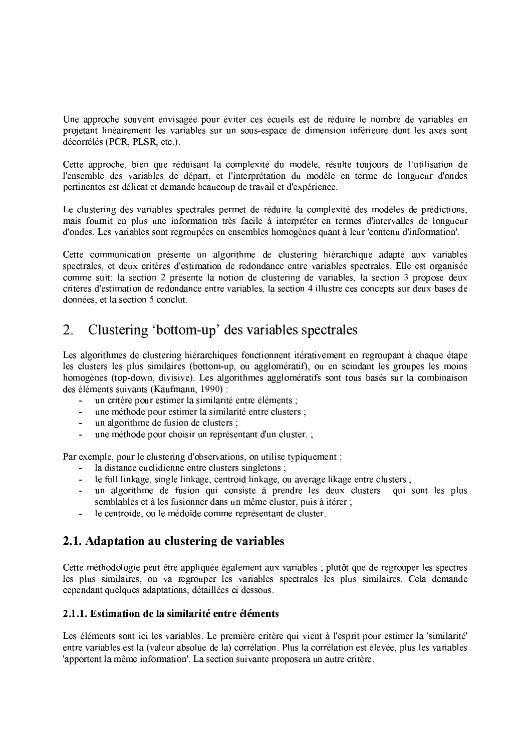Une approche souvent envisagée pour éviter ces écueils est de réduire le nombre de variables en projetant linéairement les variables sur un sous-espace de dimension inférieure dont les axes sont décorrélés (PCR, PLSR, etc.).

Cette approche, bien que réduisant la complexité du modèle, résulte toujours de l'utilisation de l'ensemble des variables de départ, et l'interprétation du modèle en terme de longueur d'ondes pertinentes est délicat et demande beaucoup de travail et d'expérience.

Le clustering des variables spectrales permet de réduire la complexité des modèles de prédictions, mais fournit en plus une information très facile à interpréter en termes d'intervalles de longueur d'ondes. Les variables sont regroupées en ensembles homogènes quant à leur 'contenu d'information'.

Cette communication présente un algorithme de clustering hiérarchique adapté aux variables spectrales, et deux critères d'estimation de redondance entre variables spectrales. Elle est organisée comme suit: la section 2 présente la notion de clustering de variables, la section 3 propose deux critères d'estimation de redondance entre variables. la section 4 illustre ces concepts sur deux bases de données, et la section 5 conclut.

#### Clustering 'bottom-up' des variables spectrales  $\overline{2}$ .

Les algorithmes de clustering hiérarchiques fonctionnent itérativement en regroupant à chaque étape les clusters les plus similaires (bottom-up, ou agglomératif), ou en scindant les groupes les moins homogènes (top-down, divisive). Les algorithmes agglomératifs sont tous basés sur la combinaison des éléments suivants (Kaufmann, 1990) :

- un critère pour estimer la similarité entre éléments :
- une méthode pour estimer la similarité entre clusters;
- un algorithme de fusion de clusters :  $\sim$
- une méthode pour choisir un représentant d'un cluster.  $\mathbf{r}$

Par exemple, pour le clustering d'observations, on utilise typiquement :

- la distance euclidienne entre clusters singletons :
- le full linkage, single linkage, centroid linkage, ou average likage entre clusters;
- un algorithme de fusion qui consiste à prendre les deux clusters qui sont les plus semblables et à les fusionner dans un même cluster, puis à itérer;
- $\mathbf{L}^{(1)}$ le centroide, ou le médoïde comme représentant de cluster.

## 2.1. Adaptation au clustering de variables

Cette méthodologie peut être appliquée également aux variables ; plutôt que de regrouper les spectres les plus similaires, on va regrouper les variables spectrales les plus similaires. Cela demande cependant quelques adaptations, détaillées ci dessous.

### 2.1.1. Estimation de la similarité entre éléments

Les éléments sont ici les variables. Le première critère qui vient à l'esprit pour estimer la 'similarité' entre variables est la (valeur absolue de la) corrélation. Plus la corrélation est élevée, plus les variables 'apportent la même information'. La section suivante proposera un autre critère.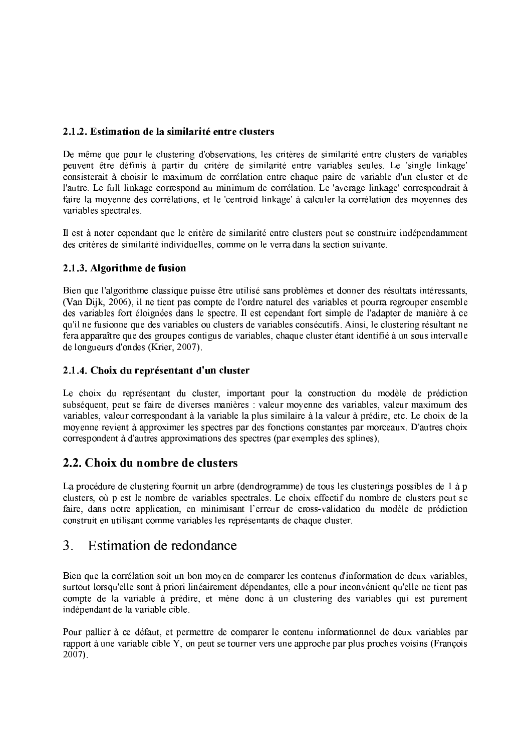### 2.1.2. Estimation de la similarité entre clusters

De même que pour le clustering d'observations, les critères de similarité entre clusters de variables peuvent être définis à partir du critère de similarité entre variables seules. Le 'single linkage' consisterait à choisir le maximum de corrélation entre chaque paire de variable d'un cluster et de l'autre. Le full linkage correspond au minimum de corrélation. Le 'average linkage' correspondrait à faire la moyenne des corrélations, et le 'centroid linkage' à calculer la corrélation des moyennes des variables spectrales.

Il est à noter cependant que le critère de similarité entre clusters peut se construire indépendamment des critères de similarité individuelles, comme on le verra dans la section suivante.

### 2.1.3. Algorithme de fusion

Bien que l'algorithme classique puisse être utilisé sans problèmes et donner des résultats intéressants. (Van Dijk, 2006), il ne tient pas compte de l'ordre naturel des variables et pourra regrouper ensemble des variables fort éloignées dans le spectre. Il est cependant fort simple de l'adapter de manière à ce qu'il ne fusionne que des variables ou clusters de variables consécutifs. Ainsi, le clustering résultant ne fera apparaître que des groupes contigus de variables, chaque cluster étant identifié à un sous intervalle de longueurs d'ondes (Krier, 2007).

### 2.1.4. Choix du représentant d'un cluster

Le choix du représentant du cluster, important pour la construction du modèle de prédiction subséquent, peut se faire de diverses manières : valeur movenne des variables, valeur maximum des variables, valeur correspondant à la variable la plus similaire à la valeur à prédire, etc. Le choix de la movenne revient à approximer les spectres par des fonctions constantes par morceaux. D'autres choix correspondent à d'autres approximations des spectres (par exemples des splines).

## 2.2. Choix du nombre de clusters

La procédure de clustering fournit un arbre (dendrogramme) de tous les clusterings possibles de 1 à p clusters, où p est le nombre de variables spectrales. Le choix effectif du nombre de clusters peut se faire, dans notre application, en minimisant l'erreur de cross-validation du modèle de prédiction construit en utilisant comme variables les représentants de chaque cluster.

#### $\overline{3}$ . Estimation de redondance

Bien que la corrélation soit un bon moven de comparer les contenus d'information de deux variables. surtout lorsqu'elle sont à priori linéairement dépendantes, elle a pour inconvénient qu'elle ne tient pas compte de la variable à prédire, et mène donc à un clustering des variables qui est purement indépendant de la variable cible.

Pour pallier à ce défaut, et permettre de comparer le contenu informationnel de deux variables par rapport à une variable cible Y, on peut se tourner vers une approche par plus proches voisins (Francois  $2007$ ).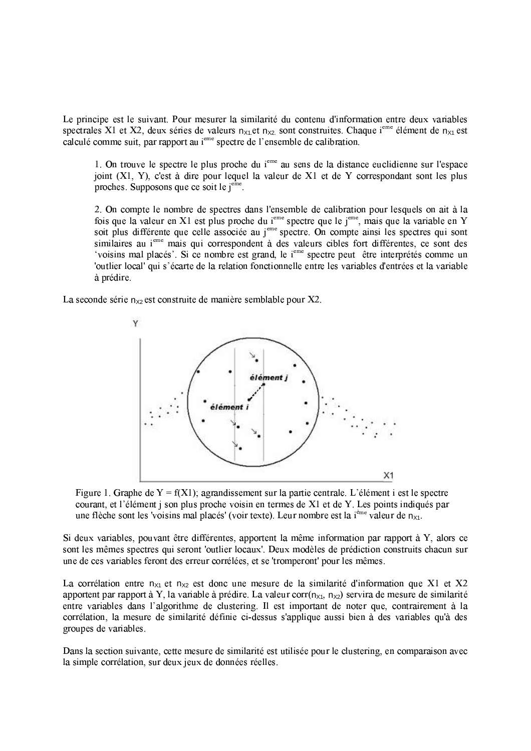Le principe est le suivant. Pour mesurer la similarité du contenu d'information entre deux variables spectrales X1 et X2, deux séries de valeurs  $n_{x1}$ , et  $n_{x2}$  sont construites. Chaque i<sup>eme</sup> élément de  $n_{x1}$  est calculé comme suit, par rapport au i<sup>eme</sup> spectre de l'ensemble de calibration.

1. On trouve le spectre le plus proche du *i*<sup>eme</sup> au sens de la distance euclidienne sur l'espace joint (X1, Y), c'est à dire pour lequel la valeur de X1 et de Y correspondant sont les plus proches. Supposons que ce soit le j<sup>eme</sup>.

2. On compte le nombre de spectres dans l'ensemble de calibration pour lesquels on ait à la fois que la valeur en X1 est plus proche du j<sup>eme</sup> spectre que le j<sup>eme</sup>, mais que la variable en Y soit plus différente que celle associée au j<sup>eme</sup> spectre. On compte ainsi les spectres qui sont similaires au i<sup>eme</sup> mais qui correspondent à des valeurs cibles fort différentes, ce sont des 'voisins mal placés'. Si ce nombre est grand, le j<sup>eme</sup> spectre peut être interprétés comme un 'outlier local' qui s'écarte de la relation fonctionnelle entre les variables d'entrées et la variable à prédire.

La seconde série  $n_{x2}$  est construite de manière semblable pour X2.





Si deux variables, pouvant être différentes, apportent la même information par rapport à Y, alors ce sont les mêmes spectres qui seront 'outlier locaux'. Deux modèles de prédiction construits chacun sur une de ces variables feront des erreur corrélées, et se 'tromperont' pour les mêmes.

La corrélation entre  $n_{x1}$  et  $n_{x2}$  est donc une mesure de la similarité d'information que X1 et X2 apportent par rapport à Y, la variable à prédire. La valeur corr $(n_{x1}, n_{x2})$  servira de mesure de similarité entre variables dans l'algorithme de clustering. Il est important de noter que, contrairement à la corrélation, la mesure de similarité définie ci-dessus s'applique aussi bien à des variables qu'à des groupes de variables.

Dans la section suivante, cette mesure de similarité est utilisée pour le clustering, en comparaison avec la simple corrélation, sur deux jeux de données réelles.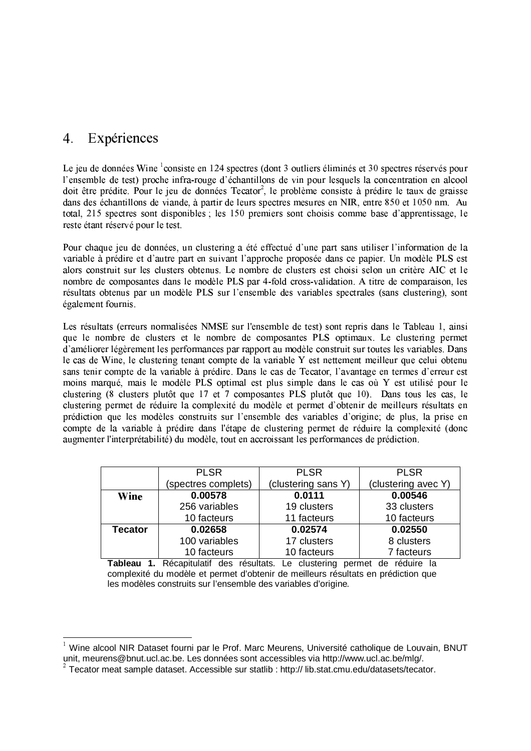#### $\overline{4}$ . Expériences

Le jeu de données Wine <sup>1</sup>consiste en 124 spectres (dont 3 outliers éliminés et 30 spectres réservés pour l'ensemble de test) proche infra-rouge d'échantillons de vin pour lesquels la concentration en alcool doit être prédite. Pour le jeu de données Tecator<sup>2</sup>, le problème consiste à prédire le taux de graisse dans des échantillons de viande, à partir de leurs spectres mesures en NIR, entre 850 et 1050 nm. Au total, 215 spectres sont disponibles; les 150 premiers sont choisis comme base d'apprentissage, le reste étant réservé pour le test.

Pour chaque jeu de données, un clustering a été effectué d'une part sans utiliser l'information de la variable à prédire et d'autre part en suivant l'approche proposée dans ce papier. Un modèle PLS est alors construit sur les clusters obtenus. Le nombre de clusters est choisi selon un critère AIC et le nombre de composantes dans le modèle PLS par 4-fold cross-validation. A titre de comparaison, les résultats obtenus par un modèle PLS sur l'ensemble des variables spectrales (sans clustering), sont également fournis.

Les résultats (erreurs normalisées NMSE sur l'ensemble de test) sont repris dans le Tableau 1, ainsi que le nombre de clusters et le nombre de composantes PLS optimaux. Le clustering permet d'améliorer légèrement les performances par rapport au modèle construit sur toutes les variables. Dans le cas de Wine, le clustering tenant compte de la variable Y est nettement meilleur que celui obtenu sans tenir compte de la variable à prédire. Dans le cas de Tecator, l'avantage en termes d'erreur est moins marqué, mais le modèle PLS optimal est plus simple dans le cas où Y est utilisé pour le clustering (8 clusters plutôt que 17 et 7 composantes PLS plutôt que 10). Dans tous les cas, le clustering permet de réduire la complexité du modèle et permet d'obtenir de meilleurs résultats en prédiction que les modèles construits sur l'ensemble des variables d'origine; de plus, la prise en compte de la variable à prédire dans l'étape de clustering permet de réduire la complexité (donc augmenter l'interprétabilité) du modèle, tout en accroissant les performances de prédiction.

|         | <b>PLSR</b>         | <b>PLSR</b>         | <b>PLSR</b>         |
|---------|---------------------|---------------------|---------------------|
|         | (spectres complets) | (clustering sans Y) | (clustering avec Y) |
| Wine    | 0.00578             | 0.0111              | 0.00546             |
|         | 256 variables       | 19 clusters         | 33 clusters         |
|         | 10 facteurs         | 11 facteurs         | 10 facteurs         |
| Tecator | 0.02658             | 0.02574             | 0.02550             |
|         | 100 variables       | 17 clusters         | 8 clusters          |
|         | 10 facteurs         | 10 facteurs         | 7 facteurs          |

Tableau 1. Récapitulatif des résultats. Le clustering permet de réduire la complexité du modèle et permet d'obtenir de meilleurs résultats en prédiction que les modèles construits sur l'ensemble des variables d'origine.

<sup>&</sup>lt;sup>1</sup> Wine alcool NIR Dataset fourni par le Prof. Marc Meurens, Université catholique de Louvain, BNUT unit, meurens@bnut.ucl.ac.be. Les données sont accessibles via http://www.ucl.ac.be/mlg/.

 $2$  Tecator meat sample dataset. Accessible sur statlib : http:// lib.stat.cmu.edu/datasets/tecator.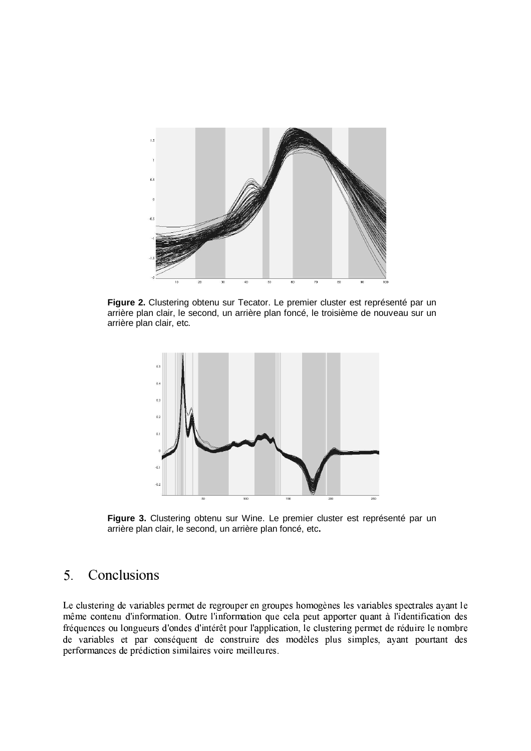

Figure 2. Clustering obtenu sur Tecator. Le premier cluster est représenté par un arrière plan clair, le second, un arrière plan foncé, le troisième de nouveau sur un arrière plan clair, etc.



Figure 3. Clustering obtenu sur Wine. Le premier cluster est représenté par un arrière plan clair, le second, un arrière plan foncé, etc.

#### Conclusions  $5<sub>1</sub>$

Le clustering de variables permet de regrouper en groupes homogènes les variables spectrales ayant le même contenu d'information. Outre l'information que cela peut apporter quant à l'identification des fréquences ou longueurs d'ondes d'intérêt pour l'application, le clustering permet de réduire le nombre de variables et par conséquent de construire des modèles plus simples, ayant pourtant des performances de prédiction similaires voire meilleures.